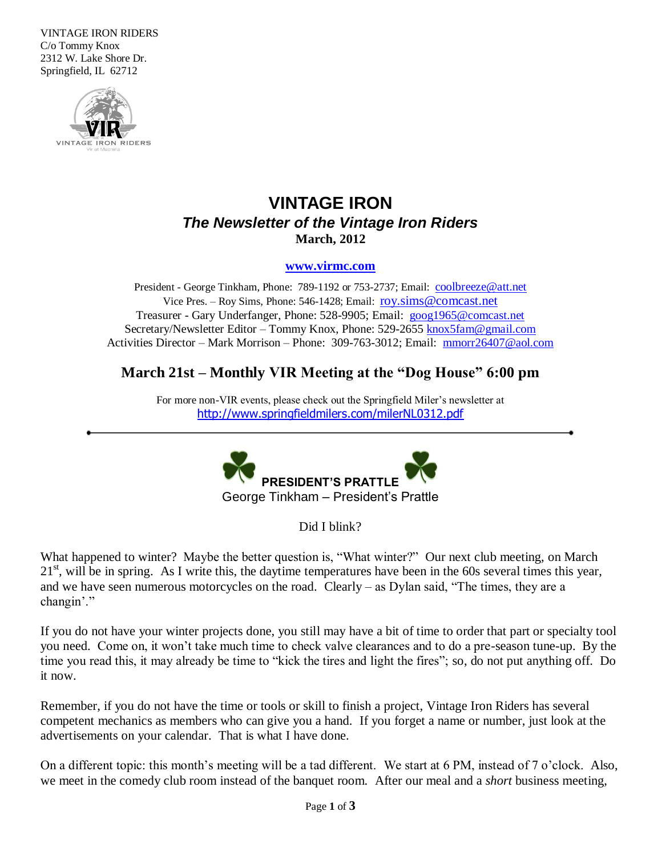VINTAGE IRON RIDERS C/o Tommy Knox 2312 W. Lake Shore Dr. Springfield, IL 62712



# **VINTAGE IRON** *The Newsletter of the Vintage Iron Riders* **March, 2012**

#### **[www.virmc.com](http://www.virmc.com/)**

President - George Tinkham, Phone: 789-1192 or 753-2737; Email: [coolbreeze@att.net](mailto:coolbreeze@att.net) Vice Pres. – Roy Sims, Phone: 546-1428; Email: [roy.sims@comcast.net](mailto:roy.sims@comcast.net) Treasurer - Gary Underfanger, Phone: 528-9905; Email: [goog1965@comcast.net](mailto:goog1965@comcast.net) Secretary/Newsletter Editor – Tommy Knox, Phone: 529-2655 [knox5fam@gmail.com](mailto:knox5fam@gmail.com) Activities Director – Mark Morrison – Phone: 309-763-3012; Email: [mmorr26407@aol.com](mailto:mmorr26407@aol.com)

# **March 21st – Monthly VIR Meeting at the "Dog House" 6:00 pm**

For more non-VIR events, please check out the Springfield Miler's newsletter at <http://www.springfieldmilers.com/milerNL0312.pdf>



Did I blink?

What happened to winter? Maybe the better question is, "What winter?" Our next club meeting, on March  $21<sup>st</sup>$ , will be in spring. As I write this, the daytime temperatures have been in the 60s several times this year, and we have seen numerous motorcycles on the road. Clearly – as Dylan said, "The times, they are a changin'."

If you do not have your winter projects done, you still may have a bit of time to order that part or specialty tool you need. Come on, it won't take much time to check valve clearances and to do a pre-season tune-up. By the time you read this, it may already be time to "kick the tires and light the fires"; so, do not put anything off. Do it now.

Remember, if you do not have the time or tools or skill to finish a project, Vintage Iron Riders has several competent mechanics as members who can give you a hand. If you forget a name or number, just look at the advertisements on your calendar. That is what I have done.

On a different topic: this month's meeting will be a tad different. We start at 6 PM, instead of 7 o'clock. Also, we meet in the comedy club room instead of the banquet room. After our meal and a *short* business meeting,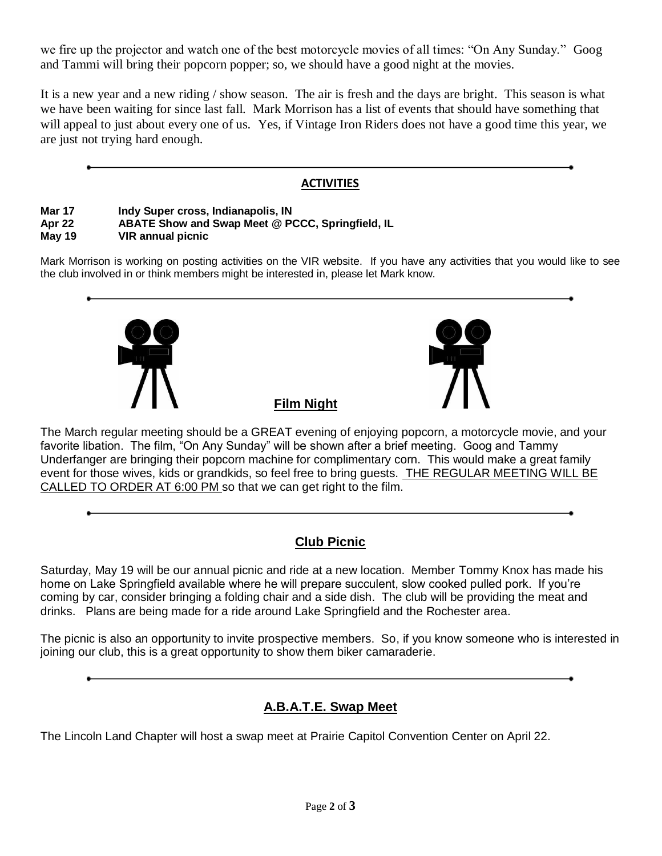we fire up the projector and watch one of the best motorcycle movies of all times: "On Any Sunday." Goog and Tammi will bring their popcorn popper; so, we should have a good night at the movies.

It is a new year and a new riding / show season. The air is fresh and the days are bright. This season is what we have been waiting for since last fall. Mark Morrison has a list of events that should have something that will appeal to just about every one of us. Yes, if Vintage Iron Riders does not have a good time this year, we are just not trying hard enough.

### **ACTIVITIES**

### **Mar 17 Indy Super cross, Indianapolis, IN**

#### **Apr 22 ABATE Show and Swap Meet @ PCCC, Springfield, IL**

**May 19 VIR annual picnic**

Mark Morrison is working on posting activities on the VIR website. If you have any activities that you would like to see the club involved in or think members might be interested in, please let Mark know.



The March regular meeting should be a GREAT evening of enjoying popcorn, a motorcycle movie, and your favorite libation. The film, "On Any Sunday" will be shown after a brief meeting. Goog and Tammy Underfanger are bringing their popcorn machine for complimentary corn. This would make a great family event for those wives, kids or grandkids, so feel free to bring guests. THE REGULAR MEETING WILL BE CALLED TO ORDER AT 6:00 PM so that we can get right to the film.

## **Club Picnic**

Saturday, May 19 will be our annual picnic and ride at a new location. Member Tommy Knox has made his home on Lake Springfield available where he will prepare succulent, slow cooked pulled pork. If you're coming by car, consider bringing a folding chair and a side dish. The club will be providing the meat and drinks. Plans are being made for a ride around Lake Springfield and the Rochester area.

The picnic is also an opportunity to invite prospective members. So, if you know someone who is interested in joining our club, this is a great opportunity to show them biker camaraderie.

## **A.B.A.T.E. Swap Meet**

The Lincoln Land Chapter will host a swap meet at Prairie Capitol Convention Center on April 22.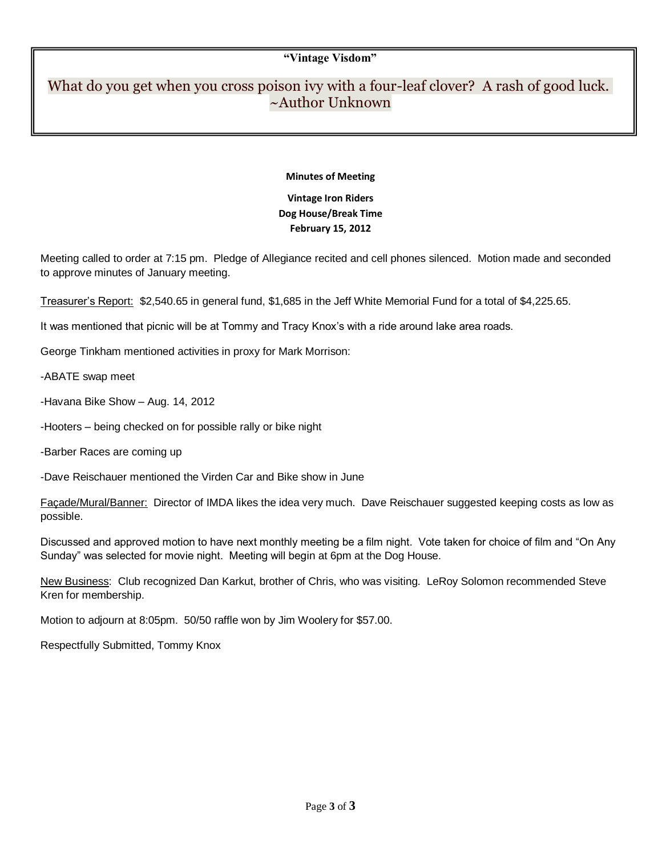#### **"Vintage Visdom"**

# What do you get when you cross poison ivy with a four-leaf clover? A rash of good luck. ~Author Unknown

#### **Minutes of Meeting**

### **Vintage Iron Riders Dog House/Break Time February 15, 2012**

Meeting called to order at 7:15 pm. Pledge of Allegiance recited and cell phones silenced. Motion made and seconded to approve minutes of January meeting.

Treasurer's Report: \$2,540.65 in general fund, \$1,685 in the Jeff White Memorial Fund for a total of \$4,225.65.

It was mentioned that picnic will be at Tommy and Tracy Knox's with a ride around lake area roads.

George Tinkham mentioned activities in proxy for Mark Morrison:

-ABATE swap meet

-Havana Bike Show – Aug. 14, 2012

-Hooters – being checked on for possible rally or bike night

-Barber Races are coming up

-Dave Reischauer mentioned the Virden Car and Bike show in June

Façade/Mural/Banner: Director of IMDA likes the idea very much. Dave Reischauer suggested keeping costs as low as possible.

Discussed and approved motion to have next monthly meeting be a film night. Vote taken for choice of film and "On Any Sunday" was selected for movie night. Meeting will begin at 6pm at the Dog House.

New Business: Club recognized Dan Karkut, brother of Chris, who was visiting. LeRoy Solomon recommended Steve Kren for membership.

Motion to adjourn at 8:05pm. 50/50 raffle won by Jim Woolery for \$57.00.

Respectfully Submitted, Tommy Knox